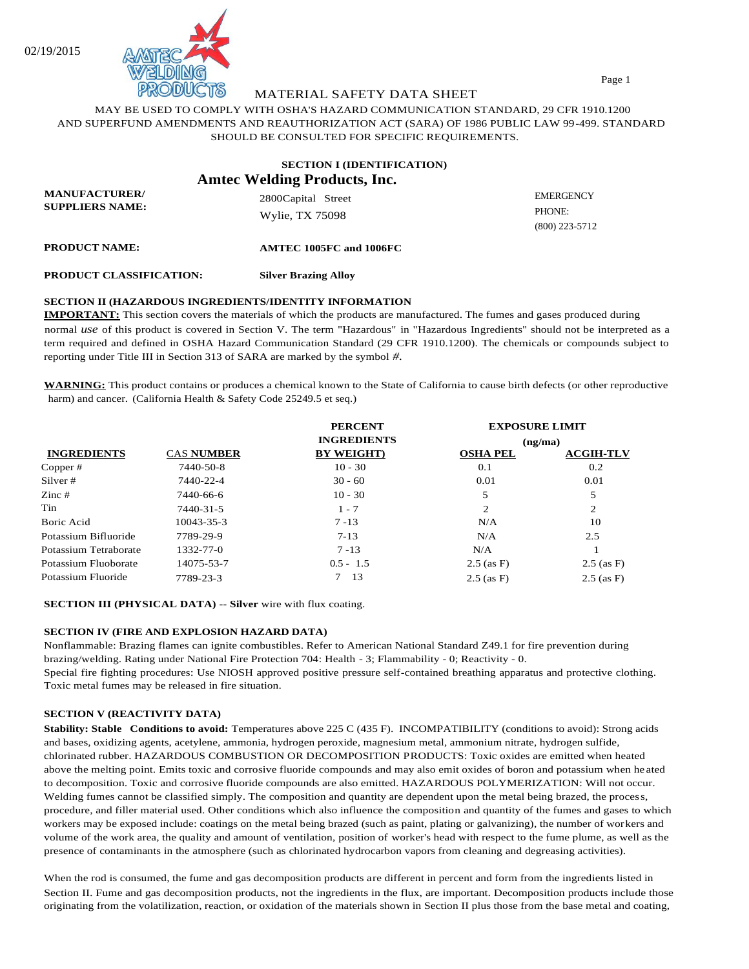

MATERIAL SAFETY DATA SHEET

MAY BE USED TO COMPLY WITH OSHA'S HAZARD COMMUNICATION STANDARD, 29 CFR 1910.1200 AND SUPERFUND AMENDMENTS AND REAUTHORIZATION ACT (SARA) OF 1986 PUBLIC LAW 99-499. STANDARD SHOULD BE CONSULTED FOR SPECIFIC REQUIREMENTS.

|                                                | <b>SECTION I (IDENTIFICATION)</b><br><b>Amtec Welding Products, Inc.</b> |                                                |
|------------------------------------------------|--------------------------------------------------------------------------|------------------------------------------------|
| <b>MANUFACTURER/</b><br><b>SUPPLIERS NAME:</b> | 2800Capital Street<br>Wylie, TX 75098                                    | <b>EMERGENCY</b><br>PHONE:<br>$(800)$ 223-5712 |
| <b>PRODUCT NAME:</b>                           | AMTEC 1005FC and 1006FC                                                  |                                                |
| <b>PRODUCT CLASSIFICATION:</b>                 | <b>Silver Brazing Alloy</b>                                              |                                                |

# **SECTION II (HAZARDOUS INGREDIENTS/IDENTITY INFORMATION**

**IMPORTANT:** This section covers the materials of which the products are manufactured. The fumes and gases produced during normal *use* of this product is covered in Section V. The term "Hazardous" in "Hazardous Ingredients" should not be interpreted as a term required and defined in OSHA Hazard Communication Standard (29 CFR 1910.1200). The chemicals or compounds subject to reporting under Title III in Section 313 of SARA are marked by the symbol *#.* 

**WARNING:** This product contains or produces a chemical known to the State of California to cause birth defects (or other reproductive harm) and cancer. (California Health & Safety Code 25249.5 et seq.)

|                          |                   | <b>PERCENT</b>     | <b>EXPOSURE LIMIT</b><br>(ng/mol) |                  |
|--------------------------|-------------------|--------------------|-----------------------------------|------------------|
| <b>INGREDIENTS</b>       | <b>CAS NUMBER</b> | <b>INGREDIENTS</b> |                                   |                  |
|                          |                   | <b>BY WEIGHT</b> ) | <b>OSHA PEL</b>                   | <b>ACGIH-TLV</b> |
| Copper#                  | 7440-50-8         | $10 - 30$          | 0.1                               | 0.2              |
| Silver #                 | 7440-22-4         | $30 - 60$          | 0.01                              | 0.01             |
| $\text{Zinc}\,\text{\#}$ | 7440-66-6         | $10 - 30$          | 5                                 | 5                |
| Tin                      | 7440-31-5         | $1 - 7$            | 2                                 | $\overline{c}$   |
| <b>Boric Acid</b>        | 10043-35-3        | $7 - 13$           | N/A                               | 10               |
| Potassium Bifluoride     | 7789-29-9         | $7 - 13$           | N/A                               | 2.5              |
| Potassium Tetraborate    | 1332-77-0         | $7 - 13$           | N/A                               |                  |
| Potassium Fluoborate     | 14075-53-7        | $0.5 - 1.5$        | $2.5$ (as F)                      | $2.5$ (as F)     |
| Potassium Fluoride       | 7789-23-3         | 13                 | $2.5$ (as F)                      | $2.5$ (as F)     |

# **SECTION III (PHYSICAL DATA) -- Silver** wire with flux coating.

# **SECTION IV (FIRE AND EXPLOSION HAZARD DATA)**

Nonflammable: Brazing flames can ignite combustibles. Refer to American National Standard Z49.1 for fire prevention during brazing/welding. Rating under National Fire Protection 704: Health - 3; Flammability - 0; Reactivity - 0. Special fire fighting procedures: Use NIOSH approved positive pressure self-contained breathing apparatus and protective clothing. Toxic metal fumes may be released in fire situation.

#### **SECTION V (REACTIVITY DATA)**

**Stability: Stable Conditions to avoid:** Temperatures above 225 C (435 F). INCOMPATIBILITY (conditions to avoid): Strong acids and bases, oxidizing agents, acetylene, ammonia, hydrogen peroxide, magnesium metal, ammonium nitrate, hydrogen sulfide, chlorinated rubber. HAZARDOUS COMBUSTION OR DECOMPOSITION PRODUCTS: Toxic oxides are emitted when heated above the melting point. Emits toxic and corrosive fluoride compounds and may also emit oxides of boron and potassium when he ated to decomposition. Toxic and corrosive fluoride compounds are also emitted. HAZARDOUS POLYMERIZATION: Will not occur. Welding fumes cannot be classified simply. The composition and quantity are dependent upon the metal being brazed, the process, procedure, and filler material used. Other conditions which also influence the composition and quantity of the fumes and gases to which workers may be exposed include: coatings on the metal being brazed (such as paint, plating or galvanizing), the number of workers and volume of the work area, the quality and amount of ventilation, position of worker's head with respect to the fume plume, as well as the presence of contaminants in the atmosphere (such as chlorinated hydrocarbon vapors from cleaning and degreasing activities).

When the rod is consumed, the fume and gas decomposition products are different in percent and form from the ingredients listed in Section II. Fume and gas decomposition products, not the ingredients in the flux, are important. Decomposition products include those originating from the volatilization, reaction, or oxidation of the materials shown in Section II plus those from the base metal and coating,

Page 1